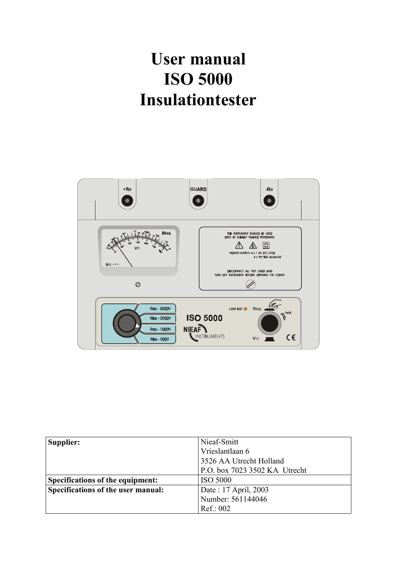# **User manual ISO 5000 Insulationtester**



| Supplier:                          | Nieaf-Smitt                   |
|------------------------------------|-------------------------------|
|                                    | Vrieslantlaan 6               |
|                                    | 3526 AA Utrecht Holland       |
|                                    | P.O. box 7023 3502 KA Utrecht |
| Specifications of the equipment:   | <b>ISO 5000</b>               |
| Specifications of the user manual: | Date: 17 April, 2003          |
|                                    | Number: 561144046             |
|                                    | Ref.: 002                     |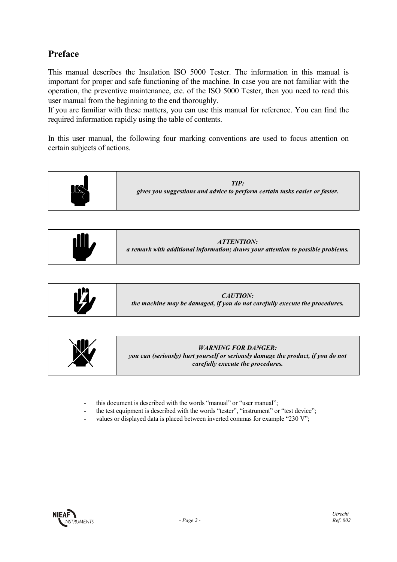## **Preface**

This manual describes the Insulation ISO 5000 Tester. The information in this manual is important for proper and safe functioning of the machine. In case you are not familiar with the operation, the preventive maintenance, etc. of the ISO 5000 Tester, then you need to read this user manual from the beginning to the end thoroughly.

If you are familiar with these matters, you can use this manual for reference. You can find the required information rapidly using the table of contents.

In this user manual, the following four marking conventions are used to focus attention on certain subjects of actions.

| TIP:<br>gives you suggestions and advice to perform certain tasks easier or faster.                                                                 |
|-----------------------------------------------------------------------------------------------------------------------------------------------------|
| <b>ATTENTION:</b><br>a remark with additional information; draws your attention to possible problems.                                               |
| CAUTION:                                                                                                                                            |
| the machine may be damaged, if you do not carefully execute the procedures.                                                                         |
| <b>WARNING FOR DANGER:</b><br>you can (seriously) hurt yourself or seriously damage the product, if you do not<br>carefully execute the procedures. |

- this document is described with the words "manual" or "user manual";
- the test equipment is described with the words "tester", "instrument" or "test device";
- values or displayed data is placed between inverted commas for example "230 V";

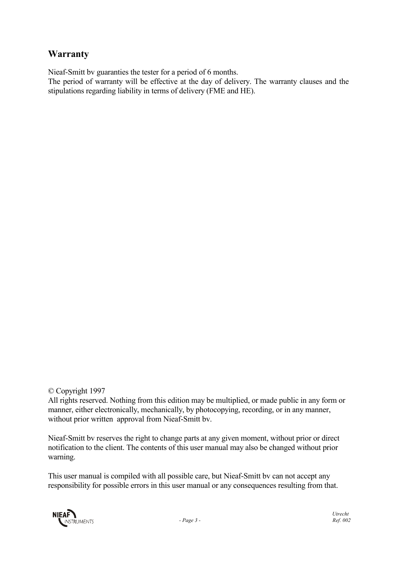## **Warranty**

Nieaf-Smitt bv guaranties the tester for a period of 6 months.

The period of warranty will be effective at the day of delivery. The warranty clauses and the stipulations regarding liability in terms of delivery (FME and HE).

#### © Copyright 1997

All rights reserved. Nothing from this edition may be multiplied, or made public in any form or manner, either electronically, mechanically, by photocopying, recording, or in any manner, without prior written approval from Nieaf-Smitt bv.

Nieaf-Smitt bv reserves the right to change parts at any given moment, without prior or direct notification to the client. The contents of this user manual may also be changed without prior warning.

This user manual is compiled with all possible care, but Nieaf-Smitt bv can not accept any responsibility for possible errors in this user manual or any consequences resulting from that.

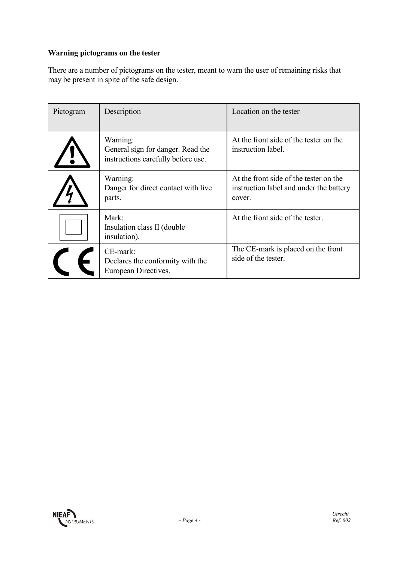#### **Warning pictograms on the tester**

There are a number of pictograms on the tester, meant to warn the user of remaining risks that may be present in spite of the safe design.

| Pictogram | Description                                                                         | Location on the tester                                                                      |
|-----------|-------------------------------------------------------------------------------------|---------------------------------------------------------------------------------------------|
|           | Warning:<br>General sign for danger. Read the<br>instructions carefully before use. | At the front side of the tester on the<br>instruction label.                                |
|           | Warning:<br>Danger for direct contact with live<br>parts.                           | At the front side of the tester on the<br>instruction label and under the battery<br>cover. |
|           | Mark:<br>Insulation class II (double)<br>insulation).                               | At the front side of the tester.                                                            |
|           | CE-mark:<br>Declares the conformity with the<br>European Directives.                | The CE-mark is placed on the front<br>side of the tester.                                   |

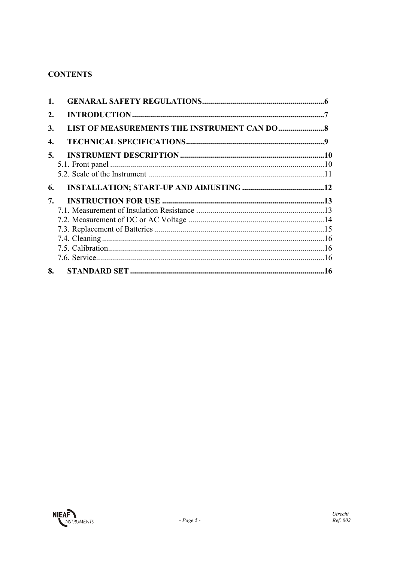#### **CONTENTS**

| 1. |  |
|----|--|
| 2. |  |
| 3. |  |
| 4. |  |
| 5. |  |
| 6. |  |
| 7. |  |
|    |  |
|    |  |
|    |  |
|    |  |
|    |  |
|    |  |
| 8. |  |

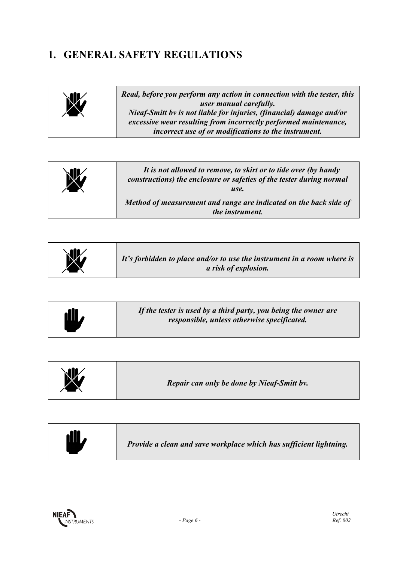# **1. GENERAL SAFETY REGULATIONS**

| NK, | Read, before you perform any action in connection with the tester, this<br>user manual carefully.<br>Nieaf-Smitt by is not liable for injuries, (financial) damage and/or<br>excessive wear resulting from incorrectly performed maintenance,<br>incorrect use of or modifications to the instrument. |
|-----|-------------------------------------------------------------------------------------------------------------------------------------------------------------------------------------------------------------------------------------------------------------------------------------------------------|
|-----|-------------------------------------------------------------------------------------------------------------------------------------------------------------------------------------------------------------------------------------------------------------------------------------------------------|

| <b>xIII</b> | It is not allowed to remove, to skirt or to tide over (by handy<br>constructions) the enclosure or safeties of the tester during normal<br>use. |
|-------------|-------------------------------------------------------------------------------------------------------------------------------------------------|
|             | Method of measurement and range are indicated on the back side of<br>the instrument.                                                            |

| 业 | It's forbidden to place and/or to use the instrument in a room where is<br><i>a risk of explosion.</i> |
|---|--------------------------------------------------------------------------------------------------------|
|---|--------------------------------------------------------------------------------------------------------|

| 山, | If the tester is used by a third party, you being the owner are<br>responsible, unless otherwise specificated. |
|----|----------------------------------------------------------------------------------------------------------------|
|    |                                                                                                                |

| Repair can only be done by Nieaf-Smitt by. | 业 |  |
|--------------------------------------------|---|--|
|--------------------------------------------|---|--|

| <b>ill,</b> | Provide a clean and save workplace which has sufficient lightning. |
|-------------|--------------------------------------------------------------------|
|-------------|--------------------------------------------------------------------|

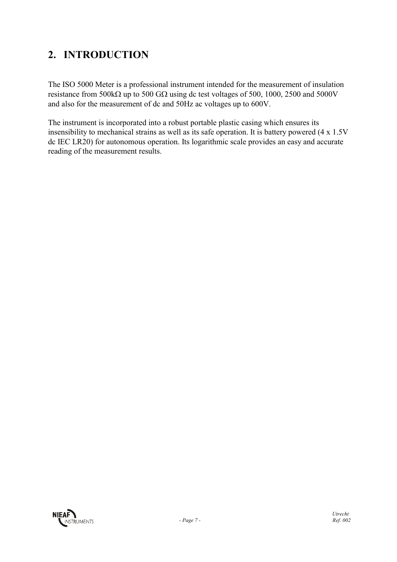# **2. INTRODUCTION**

The ISO 5000 Meter is a professional instrument intended for the measurement of insulation resistance from 500kΩ up to 500 GΩ using dc test voltages of 500, 1000, 2500 and 5000V and also for the measurement of dc and 50Hz ac voltages up to 600V.

The instrument is incorporated into a robust portable plastic casing which ensures its insensibility to mechanical strains as well as its safe operation. It is battery powered (4 x 1.5V dc IEC LR20) for autonomous operation. Its logarithmic scale provides an easy and accurate reading of the measurement results.

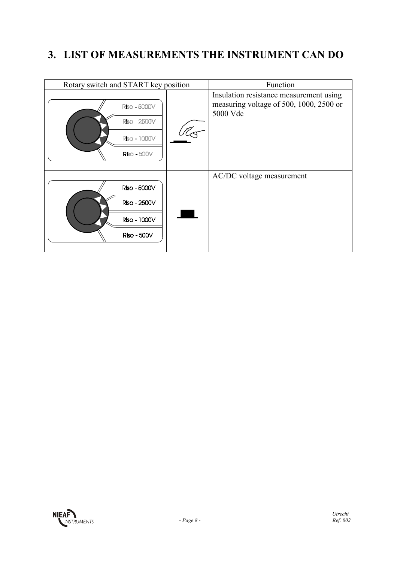# **3. LIST OF MEASUREMENTS THE INSTRUMENT CAN DO**



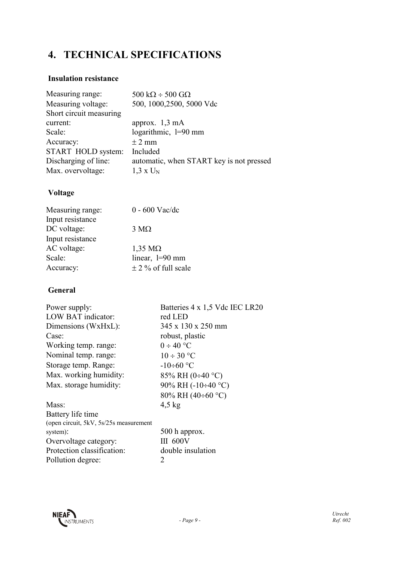# **4. TECHNICAL SPECIFICATIONS**

#### **Insulation resistance**

| $500 \text{ k}\Omega \div 500 \text{ G}\Omega$<br>500, 1000, 2500, 5000 Vdc |
|-----------------------------------------------------------------------------|
| approx. $1,3 \text{ mA}$                                                    |
|                                                                             |
| logarithmic, l=90 mm                                                        |
| $\pm$ 2 mm                                                                  |
| Included                                                                    |
| automatic, when START key is not pressed                                    |
| $1.3 \times U_N$                                                            |
|                                                                             |

#### **Voltage**

| $0 - 600$ Vac/dc        |
|-------------------------|
|                         |
| $3 \text{ M}\Omega$     |
|                         |
| $1,35 \text{ M}\Omega$  |
| linear, $l=90$ mm       |
| $\pm$ 2 % of full scale |
|                         |

#### **General**

| Power supply:                           | Batteries 4 x 1,5 Vdc IEC LR20 |  |
|-----------------------------------------|--------------------------------|--|
| LOW BAT indicator:                      | red LED                        |  |
| Dimensions (WxHxL):                     | 345 x 130 x 250 mm             |  |
| Case:                                   | robust, plastic                |  |
| Working temp. range:                    | $0 \div 40$ °C                 |  |
| Nominal temp. range:                    | $10 \div 30$ °C                |  |
| Storage temp. Range:                    | $-10 \div 60$ °C               |  |
| Max. working humidity:                  | 85% RH $(0, 40 \degree C)$     |  |
| Max. storage humidity:                  | 90% RH (-10÷40 °C)             |  |
|                                         | 80% RH $(40\div 60$ °C)        |  |
| Mass:                                   | $4.5 \text{ kg}$               |  |
| Battery life time                       |                                |  |
| (open circuit, 5kV, 5s/25s measurement) |                                |  |
| system):                                | 500 h approx.                  |  |
| Overvoltage category:                   | <b>III</b> 600V                |  |
| Protection classification:              | double insulation              |  |
| Pollution degree:                       | 2                              |  |

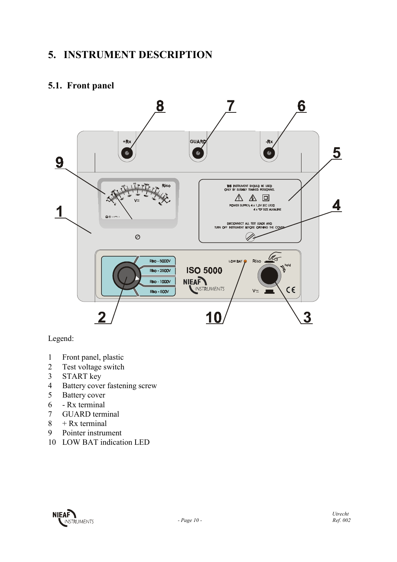# **5. INSTRUMENT DESCRIPTION**

## **5.1. Front panel**



Legend:

- 1 Front panel, plastic
- 2 Test voltage switch
- 3 START key
- 4 Battery cover fastening screw
- 5 Battery cover
- 6 Rx terminal
- 7 GUARD terminal
- $8 + Rx$  terminal
- 9 Pointer instrument
- 10 LOW BAT indication LED

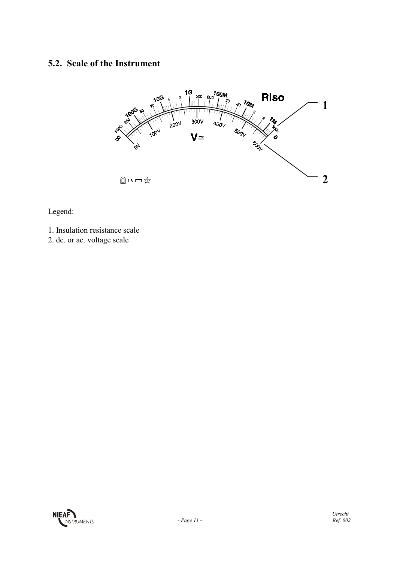## **5.2. Scale of the Instrument**



## Legend:

- 1. Insulation resistance scale
- 2. dc. or ac. voltage scale

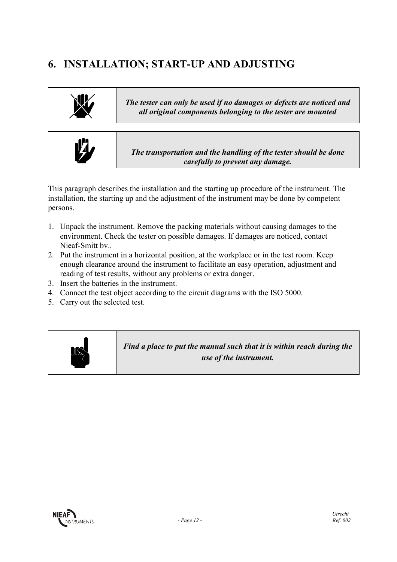# **6. INSTALLATION; START-UP AND ADJUSTING**

| The tester can only be used if no damages or defects are noticed and<br>all original components belonging to the tester are mounted |
|-------------------------------------------------------------------------------------------------------------------------------------|
| The transportation and the handling of the tester should be done<br>carefully to prevent any damage.                                |

This paragraph describes the installation and the starting up procedure of the instrument. The installation, the starting up and the adjustment of the instrument may be done by competent persons.

- 1. Unpack the instrument. Remove the packing materials without causing damages to the environment. Check the tester on possible damages. If damages are noticed, contact Nieaf-Smitt bv..
- 2. Put the instrument in a horizontal position, at the workplace or in the test room. Keep enough clearance around the instrument to facilitate an easy operation, adjustment and reading of test results, without any problems or extra danger.
- 3. Insert the batteries in the instrument.
- 4. Connect the test object according to the circuit diagrams with the ISO 5000.
- 5. Carry out the selected test.



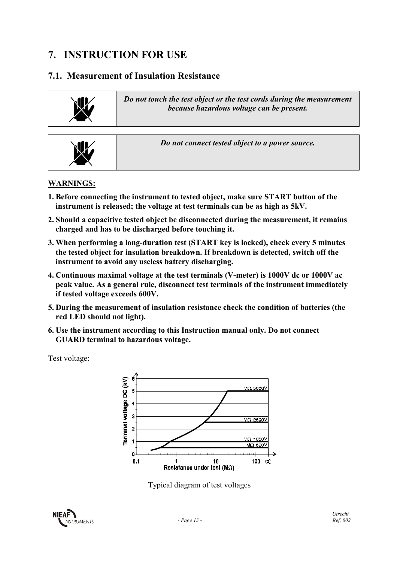# **7. INSTRUCTION FOR USE**

## **7.1. Measurement of Insulation Resistance**

| 业 | Do not connect tested object to a power source. |
|---|-------------------------------------------------|
|   |                                                 |

#### **WARNINGS:**

- **1. Before connecting the instrument to tested object, make sure START button of the instrument is released; the voltage at test terminals can be as high as 5kV.**
- **2. Should a capacitive tested object be disconnected during the measurement, it remains charged and has to be discharged before touching it.**
- **3. When performing a long-duration test (START key is locked), check every 5 minutes the tested object for insulation breakdown. If breakdown is detected, switch off the instrument to avoid any useless battery discharging.**
- **4. Continuous maximal voltage at the test terminals (V-meter) is 1000V dc or 1000V ac peak value. As a general rule, disconnect test terminals of the instrument immediately if tested voltage exceeds 600V.**
- **5. During the measurement of insulation resistance check the condition of batteries (the red LED should not light).**
- **6. Use the instrument according to this Instruction manual only. Do not connect GUARD terminal to hazardous voltage.**

Test voltage:



Typical diagram of test voltages

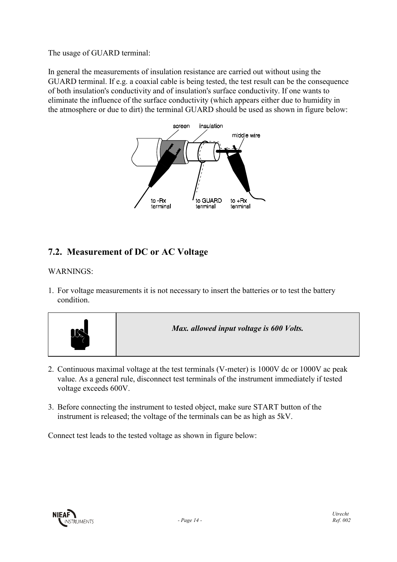The usage of GUARD terminal:

In general the measurements of insulation resistance are carried out without using the GUARD terminal. If e.g. a coaxial cable is being tested, the test result can be the consequence of both insulation's conductivity and of insulation's surface conductivity. If one wants to eliminate the influence of the surface conductivity (which appears either due to humidity in the atmosphere or due to dirt) the terminal GUARD should be used as shown in figure below:



## **7.2. Measurement of DC or AC Voltage**

#### WARNINGS:

1. For voltage measurements it is not necessary to insert the batteries or to test the battery condition.



- 2. Continuous maximal voltage at the test terminals (V-meter) is 1000V dc or 1000V ac peak value. As a general rule, disconnect test terminals of the instrument immediately if tested voltage exceeds 600V.
- 3. Before connecting the instrument to tested object, make sure START button of the instrument is released; the voltage of the terminals can be as high as 5kV.

Connect test leads to the tested voltage as shown in figure below:

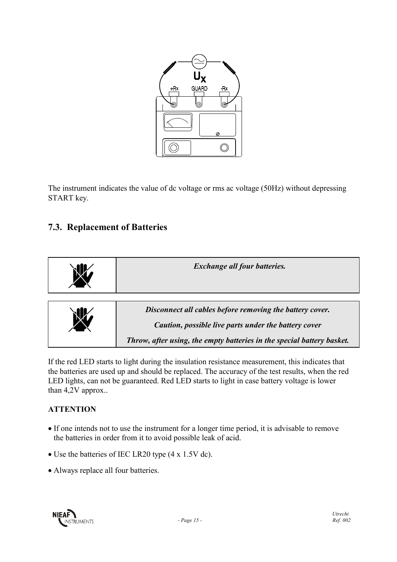

The instrument indicates the value of dc voltage or rms ac voltage (50Hz) without depressing START key.

## **7.3. Replacement of Batteries**



If the red LED starts to light during the insulation resistance measurement, this indicates that the batteries are used up and should be replaced. The accuracy of the test results, when the red LED lights, can not be guaranteed. Red LED starts to light in case battery voltage is lower than 4,2V approx..

### **ATTENTION**

- If one intends not to use the instrument for a longer time period, it is advisable to remove the batteries in order from it to avoid possible leak of acid.
- Use the batteries of IEC LR20 type (4 x 1.5V dc).
- Always replace all four batteries.